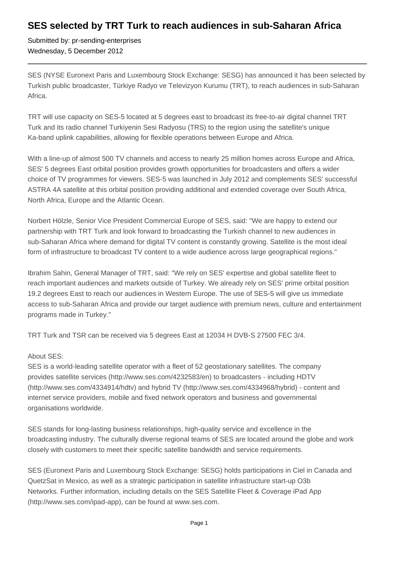## **SES selected by TRT Turk to reach audiences in sub-Saharan Africa**

Submitted by: pr-sending-enterprises Wednesday, 5 December 2012

SES (NYSE Euronext Paris and Luxembourg Stock Exchange: SESG) has announced it has been selected by Turkish public broadcaster, Türkiye Radyo ve Televizyon Kurumu (TRT), to reach audiences in sub-Saharan Africa.

TRT will use capacity on SES-5 located at 5 degrees east to broadcast its free-to-air digital channel TRT Turk and its radio channel Turkiyenin Sesi Radyosu (TRS) to the region using the satellite's unique Ka-band uplink capabilities, allowing for flexible operations between Europe and Africa.

With a line-up of almost 500 TV channels and access to nearly 25 million homes across Europe and Africa, SES' 5 degrees East orbital position provides growth opportunities for broadcasters and offers a wider choice of TV programmes for viewers. SES-5 was launched in July 2012 and complements SES' successful ASTRA 4A satellite at this orbital position providing additional and extended coverage over South Africa, North Africa, Europe and the Atlantic Ocean.

Norbert Hölzle, Senior Vice President Commercial Europe of SES, said: "We are happy to extend our partnership with TRT Turk and look forward to broadcasting the Turkish channel to new audiences in sub-Saharan Africa where demand for digital TV content is constantly growing. Satellite is the most ideal form of infrastructure to broadcast TV content to a wide audience across large geographical regions."

Ibrahim Sahin, General Manager of TRT, said: "We rely on SES' expertise and global satellite fleet to reach important audiences and markets outside of Turkey. We already rely on SES' prime orbital position 19.2 degrees East to reach our audiences in Western Europe. The use of SES-5 will give us immediate access to sub-Saharan Africa and provide our target audience with premium news, culture and entertainment programs made in Turkey."

TRT Turk and TSR can be received via 5 degrees East at 12034 H DVB-S 27500 FEC 3/4.

## About SES:

SES is a world-leading satellite operator with a fleet of 52 geostationary satellites. The company provides satellite services (http://www.ses.com/4232583/en) to broadcasters - including HDTV (http://www.ses.com/4334914/hdtv) and hybrid TV (http://www.ses.com/4334968/hybrid) - content and internet service providers, mobile and fixed network operators and business and governmental organisations worldwide.

SES stands for long-lasting business relationships, high-quality service and excellence in the broadcasting industry. The culturally diverse regional teams of SES are located around the globe and work closely with customers to meet their specific satellite bandwidth and service requirements.

SES (Euronext Paris and Luxembourg Stock Exchange: SESG) holds participations in Ciel in Canada and QuetzSat in Mexico, as well as a strategic participation in satellite infrastructure start-up O3b Networks. Further information, including details on the SES Satellite Fleet & Coverage iPad App (http://www.ses.com/ipad-app), can be found at www.ses.com.